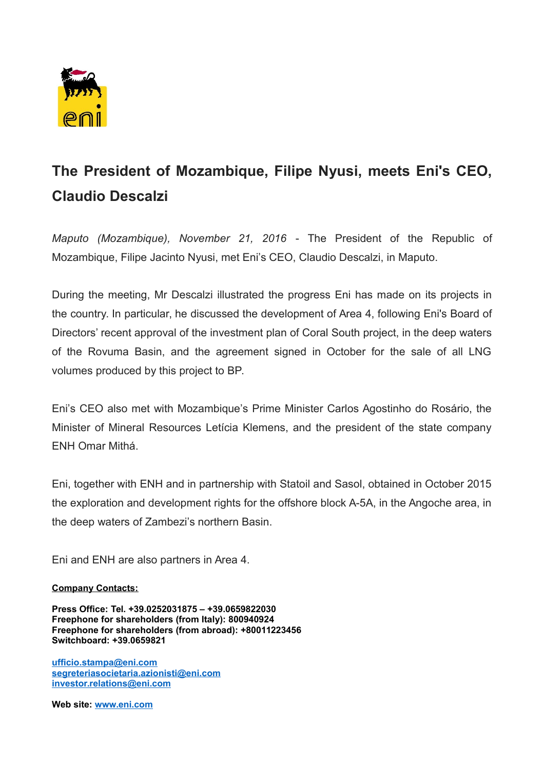

## **The President of Mozambique, Filipe Nyusi, meets Eni's CEO, Claudio Descalzi**

*Maputo (Mozambique), November 21, 2016* - The President of the Republic of Mozambique, Filipe Jacinto Nyusi, met Eni's CEO, Claudio Descalzi, in Maputo.

During the meeting, Mr Descalzi illustrated the progress Eni has made on its projects in the country. In particular, he discussed the development of Area 4, following Eni's Board of Directors' recent approval of the investment plan of Coral South project, in the deep waters of the Rovuma Basin, and the agreement signed in October for the sale of all LNG volumes produced by this project to BP.

Eni's CEO also met with Mozambique's Prime Minister Carlos Agostinho do Rosário, the Minister of Mineral Resources Letícia Klemens, and the president of the state company ENH Omar Mithá.

Eni, together with ENH and in partnership with Statoil and Sasol, obtained in October 2015 the exploration and development rights for the offshore block A-5A, in the Angoche area, in the deep waters of Zambezi's northern Basin.

Eni and ENH are also partners in Area 4.

## **Company Contacts:**

**Press Office: Tel. +39.0252031875 – +39.0659822030 Freephone for shareholders (from Italy): 800940924 Freephone for shareholders (from abroad): +80011223456 Switchboard: +39.0659821**

**[ufficio.stampa@eni.com](mailto:ufficio.stampa@eni.com) [segreteriasocietaria.azionisti@eni.com](mailto:segreteriasocietaria.azionisti@eni.com) [investor.relations@eni.com](mailto:investor.relations@eni.com)**

**Web site: [www.eni.com](http://www.eni.com/)**